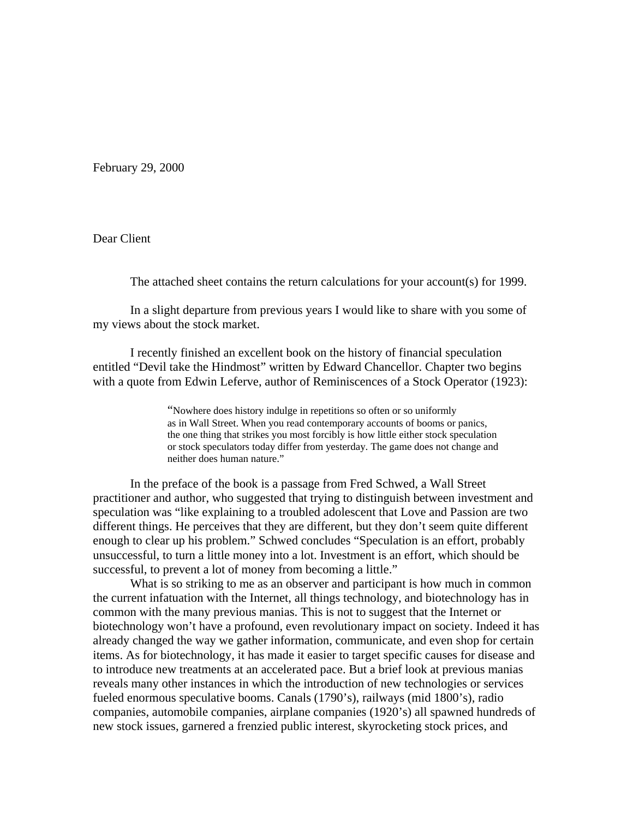February 29, 2000

Dear Client

The attached sheet contains the return calculations for your account(s) for 1999.

 In a slight departure from previous years I would like to share with you some of my views about the stock market.

 I recently finished an excellent book on the history of financial speculation entitled "Devil take the Hindmost" written by Edward Chancellor. Chapter two begins with a quote from Edwin Leferve, author of Reminiscences of a Stock Operator (1923):

> "Nowhere does history indulge in repetitions so often or so uniformly as in Wall Street. When you read contemporary accounts of booms or panics, the one thing that strikes you most forcibly is how little either stock speculation or stock speculators today differ from yesterday. The game does not change and neither does human nature."

In the preface of the book is a passage from Fred Schwed, a Wall Street practitioner and author, who suggested that trying to distinguish between investment and speculation was "like explaining to a troubled adolescent that Love and Passion are two different things. He perceives that they are different, but they don't seem quite different enough to clear up his problem." Schwed concludes "Speculation is an effort, probably unsuccessful, to turn a little money into a lot. Investment is an effort, which should be successful, to prevent a lot of money from becoming a little."

 What is so striking to me as an observer and participant is how much in common the current infatuation with the Internet, all things technology, and biotechnology has in common with the many previous manias. This is not to suggest that the Internet or biotechnology won't have a profound, even revolutionary impact on society. Indeed it has already changed the way we gather information, communicate, and even shop for certain items. As for biotechnology, it has made it easier to target specific causes for disease and to introduce new treatments at an accelerated pace. But a brief look at previous manias reveals many other instances in which the introduction of new technologies or services fueled enormous speculative booms. Canals (1790's), railways (mid 1800's), radio companies, automobile companies, airplane companies (1920's) all spawned hundreds of new stock issues, garnered a frenzied public interest, skyrocketing stock prices, and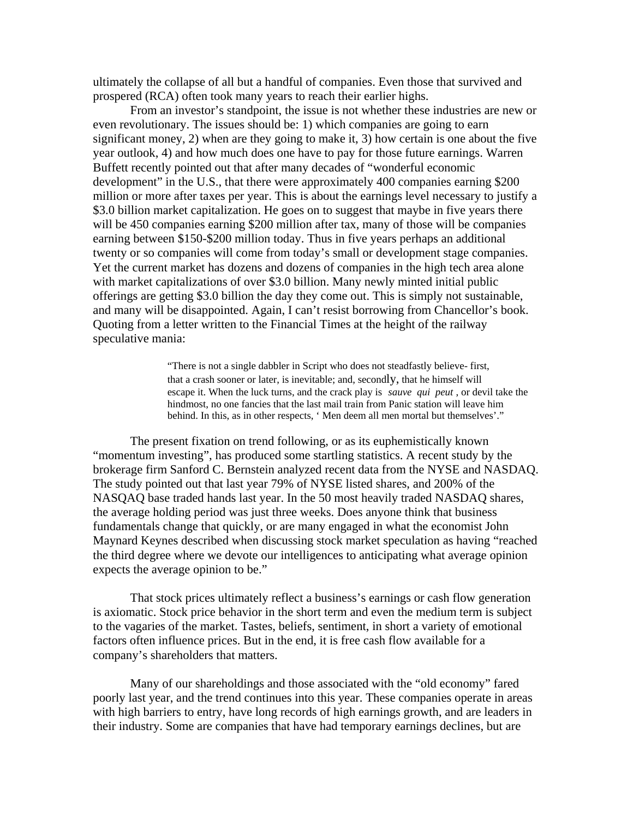ultimately the collapse of all but a handful of companies. Even those that survived and prospered (RCA) often took many years to reach their earlier highs.

 From an investor's standpoint, the issue is not whether these industries are new or even revolutionary. The issues should be: 1) which companies are going to earn significant money, 2) when are they going to make it, 3) how certain is one about the five year outlook, 4) and how much does one have to pay for those future earnings. Warren Buffett recently pointed out that after many decades of "wonderful economic development" in the U.S., that there were approximately 400 companies earning \$200 million or more after taxes per year. This is about the earnings level necessary to justify a \$3.0 billion market capitalization. He goes on to suggest that maybe in five years there will be 450 companies earning \$200 million after tax, many of those will be companies earning between \$150-\$200 million today. Thus in five years perhaps an additional twenty or so companies will come from today's small or development stage companies. Yet the current market has dozens and dozens of companies in the high tech area alone with market capitalizations of over \$3.0 billion. Many newly minted initial public offerings are getting \$3.0 billion the day they come out. This is simply not sustainable, and many will be disappointed. Again, I can't resist borrowing from Chancellor's book. Quoting from a letter written to the Financial Times at the height of the railway speculative mania:

> "There is not a single dabbler in Script who does not steadfastly believe- first, that a crash sooner or later, is inevitable; and, secondly, that he himself will escape it. When the luck turns, and the crack play is *sauve qui peut* , or devil take the hindmost, no one fancies that the last mail train from Panic station will leave him behind. In this, as in other respects, ' Men deem all men mortal but themselves'."

The present fixation on trend following, or as its euphemistically known "momentum investing", has produced some startling statistics. A recent study by the brokerage firm Sanford C. Bernstein analyzed recent data from the NYSE and NASDAQ. The study pointed out that last year 79% of NYSE listed shares, and 200% of the NASQAQ base traded hands last year. In the 50 most heavily traded NASDAQ shares, the average holding period was just three weeks. Does anyone think that business fundamentals change that quickly, or are many engaged in what the economist John Maynard Keynes described when discussing stock market speculation as having "reached the third degree where we devote our intelligences to anticipating what average opinion expects the average opinion to be."

 That stock prices ultimately reflect a business's earnings or cash flow generation is axiomatic. Stock price behavior in the short term and even the medium term is subject to the vagaries of the market. Tastes, beliefs, sentiment, in short a variety of emotional factors often influence prices. But in the end, it is free cash flow available for a company's shareholders that matters.

 Many of our shareholdings and those associated with the "old economy" fared poorly last year, and the trend continues into this year. These companies operate in areas with high barriers to entry, have long records of high earnings growth, and are leaders in their industry. Some are companies that have had temporary earnings declines, but are